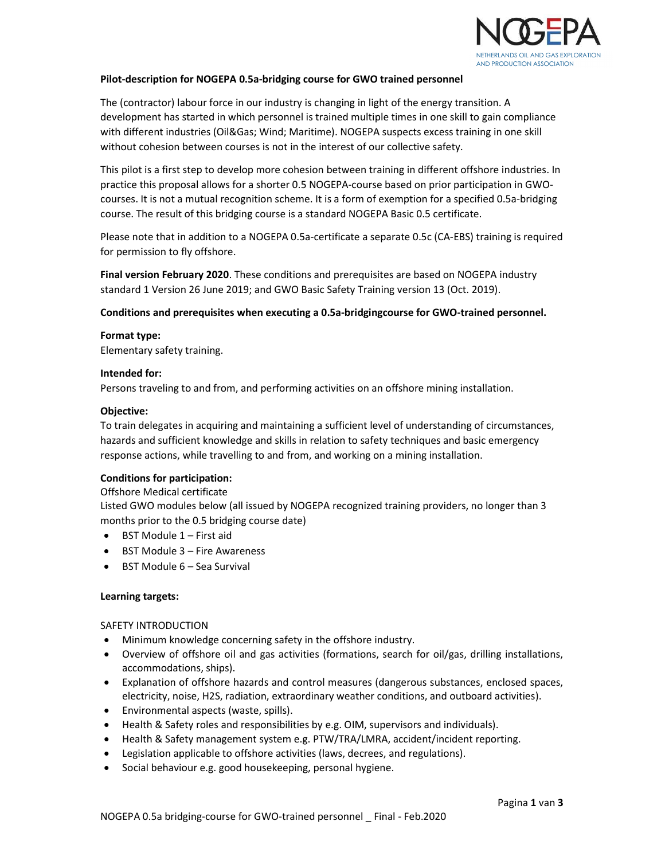

## Pilot-description for NOGEPA 0.5a-bridging course for GWO trained personnel

The (contractor) labour force in our industry is changing in light of the energy transition. A development has started in which personnel is trained multiple times in one skill to gain compliance with different industries (Oil&Gas; Wind; Maritime). NOGEPA suspects excess training in one skill without cohesion between courses is not in the interest of our collective safety.

This pilot is a first step to develop more cohesion between training in different offshore industries. In practice this proposal allows for a shorter 0.5 NOGEPA-course based on prior participation in GWOcourses. It is not a mutual recognition scheme. It is a form of exemption for a specified 0.5a-bridging course. The result of this bridging course is a standard NOGEPA Basic 0.5 certificate.

Please note that in addition to a NOGEPA 0.5a-certificate a separate 0.5c (CA-EBS) training is required for permission to fly offshore.

Final version February 2020. These conditions and prerequisites are based on NOGEPA industry standard 1 Version 26 June 2019; and GWO Basic Safety Training version 13 (Oct. 2019).

#### Conditions and prerequisites when executing a 0.5a-bridgingcourse for GWO-trained personnel.

#### Format type:

Elementary safety training.

#### Intended for:

Persons traveling to and from, and performing activities on an offshore mining installation.

#### Objective:

To train delegates in acquiring and maintaining a sufficient level of understanding of circumstances, hazards and sufficient knowledge and skills in relation to safety techniques and basic emergency response actions, while travelling to and from, and working on a mining installation.

## Conditions for participation:

Offshore Medical certificate

Listed GWO modules below (all issued by NOGEPA recognized training providers, no longer than 3 months prior to the 0.5 bridging course date)

- $\bullet$  BST Module 1 First aid
- BST Module 3 Fire Awareness
- $-BST$  Module  $6 -$  Sea Survival

## Learning targets:

## SAFETY INTRODUCTION

- Minimum knowledge concerning safety in the offshore industry.
- Overview of offshore oil and gas activities (formations, search for oil/gas, drilling installations, accommodations, ships).
- Explanation of offshore hazards and control measures (dangerous substances, enclosed spaces, electricity, noise, H2S, radiation, extraordinary weather conditions, and outboard activities).
- Environmental aspects (waste, spills).
- Health & Safety roles and responsibilities by e.g. OIM, supervisors and individuals).
- Health & Safety management system e.g. PTW/TRA/LMRA, accident/incident reporting.
- Legislation applicable to offshore activities (laws, decrees, and regulations).
- Social behaviour e.g. good housekeeping, personal hygiene.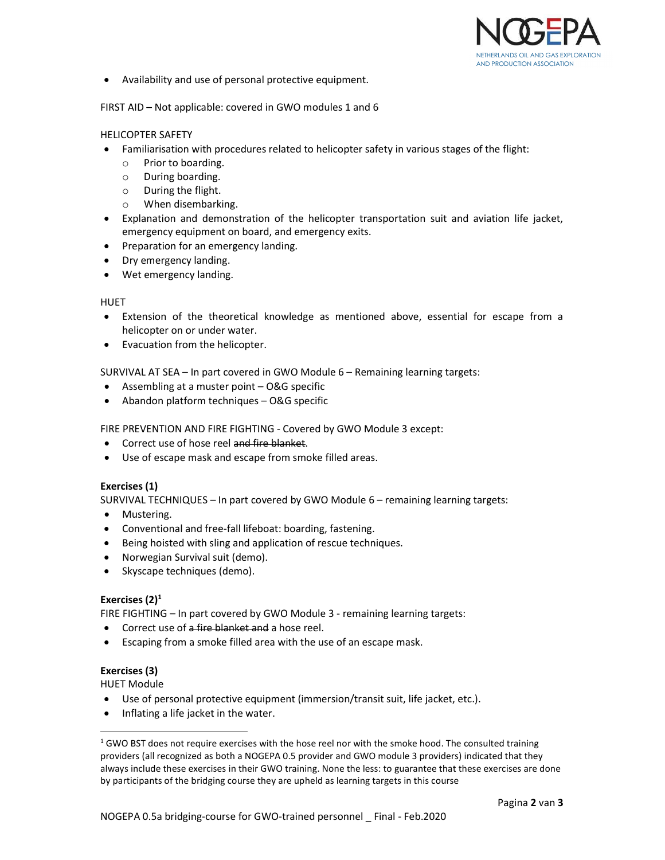

Availability and use of personal protective equipment.

FIRST AID – Not applicable: covered in GWO modules 1 and 6

## HELICOPTER SAFETY

- Familiarisation with procedures related to helicopter safety in various stages of the flight:
	- o Prior to boarding.
	- o During boarding.
	- o During the flight.
	- o When disembarking.
- Explanation and demonstration of the helicopter transportation suit and aviation life jacket, emergency equipment on board, and emergency exits.
- Preparation for an emergency landing.
- Dry emergency landing.
- Wet emergency landing.

## HUET

- Extension of the theoretical knowledge as mentioned above, essential for escape from a helicopter on or under water.
- Evacuation from the helicopter.

SURVIVAL AT SEA – In part covered in GWO Module 6 – Remaining learning targets:

- Assembling at a muster point O&G specific
- Abandon platform techniques O&G specific

FIRE PREVENTION AND FIRE FIGHTING - Covered by GWO Module 3 except:

- **•** Correct use of hose reel and fire blanket.
- Use of escape mask and escape from smoke filled areas.

## Exercises (1)

SURVIVAL TECHNIQUES – In part covered by GWO Module 6 – remaining learning targets:

- Mustering.
- Conventional and free-fall lifeboat: boarding, fastening.
- Being hoisted with sling and application of rescue techniques.
- Norwegian Survival suit (demo).
- Skyscape techniques (demo).

# Exercises  $(2)^1$

FIRE FIGHTING – In part covered by GWO Module 3 - remaining learning targets:

- Correct use of a fire blanket and a hose reel.
- Escaping from a smoke filled area with the use of an escape mask.

# Exercises (3)

HUET Module

- Use of personal protective equipment (immersion/transit suit, life jacket, etc.).
- Inflating a life jacket in the water.

<sup>&</sup>lt;sup>1</sup> GWO BST does not require exercises with the hose reel nor with the smoke hood. The consulted training providers (all recognized as both a NOGEPA 0.5 provider and GWO module 3 providers) indicated that they always include these exercises in their GWO training. None the less: to guarantee that these exercises are done by participants of the bridging course they are upheld as learning targets in this course